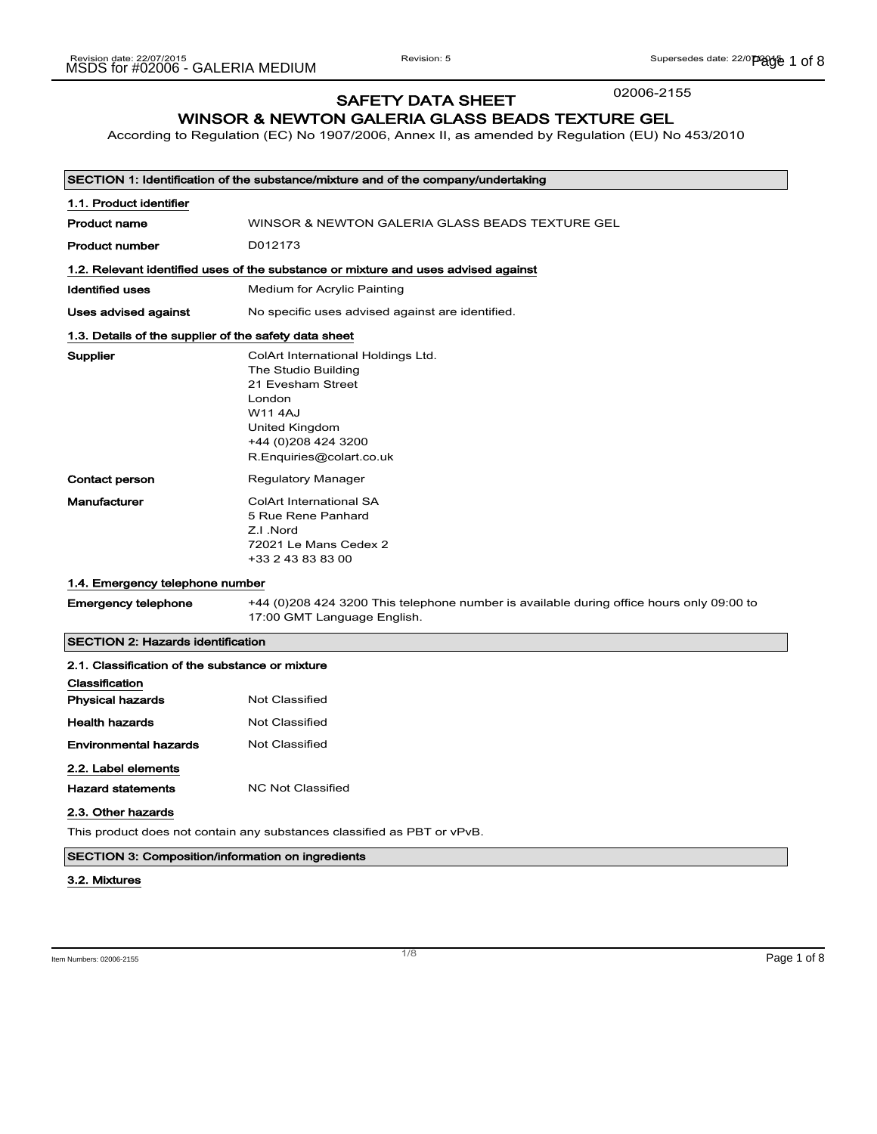02006-2155

# SAFETY DATA SHEET

### WINSOR & NEWTON GALERIA GLASS BEADS TEXTURE GEL

According to Regulation (EC) No 1907/2006, Annex II, as amended by Regulation (EU) No 453/2010

| SECTION 1: Identification of the substance/mixture and of the company/undertaking |                                                                                                                                                                                  |
|-----------------------------------------------------------------------------------|----------------------------------------------------------------------------------------------------------------------------------------------------------------------------------|
| 1.1. Product identifier                                                           |                                                                                                                                                                                  |
| <b>Product name</b>                                                               | WINSOR & NEWTON GALERIA GLASS BEADS TEXTURE GEL                                                                                                                                  |
| <b>Product number</b>                                                             | D012173                                                                                                                                                                          |
|                                                                                   | 1.2. Relevant identified uses of the substance or mixture and uses advised against                                                                                               |
| <b>Identified uses</b>                                                            | Medium for Acrylic Painting                                                                                                                                                      |
| Uses advised against                                                              | No specific uses advised against are identified.                                                                                                                                 |
| 1.3. Details of the supplier of the safety data sheet                             |                                                                                                                                                                                  |
| Supplier                                                                          | ColArt International Holdings Ltd.<br>The Studio Building<br>21 Evesham Street<br>London<br><b>W11 4AJ</b><br>United Kingdom<br>+44 (0) 208 424 3200<br>R.Enquiries@colart.co.uk |
| <b>Contact person</b>                                                             | <b>Regulatory Manager</b>                                                                                                                                                        |
| Manufacturer                                                                      | <b>ColArt International SA</b><br>5 Rue Rene Panhard<br>Z.I.Nord<br>72021 Le Mans Cedex 2<br>+33 2 43 83 83 00                                                                   |
| 1.4. Emergency telephone number                                                   |                                                                                                                                                                                  |
| <b>Emergency telephone</b>                                                        | +44 (0)208 424 3200 This telephone number is available during office hours only 09:00 to<br>17:00 GMT Language English.                                                          |
| <b>SECTION 2: Hazards identification</b>                                          |                                                                                                                                                                                  |
| 2.1. Classification of the substance or mixture                                   |                                                                                                                                                                                  |
| Classification                                                                    |                                                                                                                                                                                  |

| Classification           |                   |
|--------------------------|-------------------|
| <b>Physical hazards</b>  | Not Classified    |
| <b>Health hazards</b>    | Not Classified    |
| Environmental hazards    | Not Classified    |
| 2.2. Label elements      |                   |
| <b>Hazard statements</b> | NC Not Classified |

2.3. Other hazards

This product does not contain any substances classified as PBT or vPvB.

### SECTION 3: Composition/information on ingredients

#### 3.2. Mixtures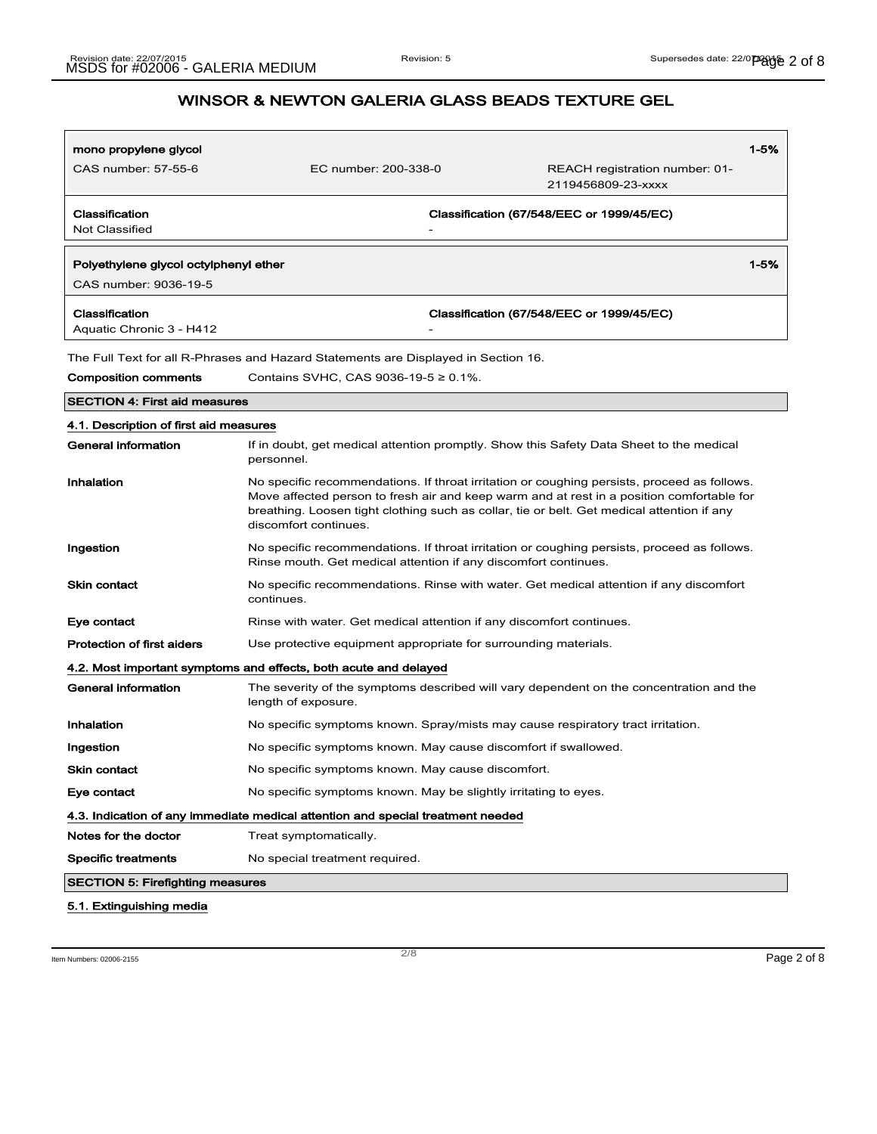| mono propylene glycol                                          |                                                                                    | $1 - 5%$                                                                                                                                                                                                                                                                               |
|----------------------------------------------------------------|------------------------------------------------------------------------------------|----------------------------------------------------------------------------------------------------------------------------------------------------------------------------------------------------------------------------------------------------------------------------------------|
| CAS number: 57-55-6                                            | EC number: 200-338-0                                                               | REACH registration number: 01-<br>2119456809-23-xxxx                                                                                                                                                                                                                                   |
| Classification<br><b>Not Classified</b>                        |                                                                                    | Classification (67/548/EEC or 1999/45/EC)                                                                                                                                                                                                                                              |
| Polyethylene glycol octylphenyl ether<br>CAS number: 9036-19-5 |                                                                                    | $1 - 5%$                                                                                                                                                                                                                                                                               |
| Classification<br>Aquatic Chronic 3 - H412                     |                                                                                    | Classification (67/548/EEC or 1999/45/EC)                                                                                                                                                                                                                                              |
|                                                                | The Full Text for all R-Phrases and Hazard Statements are Displayed in Section 16. |                                                                                                                                                                                                                                                                                        |
| <b>Composition comments</b>                                    | Contains SVHC, CAS 9036-19-5 ≥ 0.1%.                                               |                                                                                                                                                                                                                                                                                        |
| <b>SECTION 4: First aid measures</b>                           |                                                                                    |                                                                                                                                                                                                                                                                                        |
| 4.1. Description of first aid measures                         |                                                                                    |                                                                                                                                                                                                                                                                                        |
| General information                                            | personnel.                                                                         | If in doubt, get medical attention promptly. Show this Safety Data Sheet to the medical                                                                                                                                                                                                |
| Inhalation                                                     | discomfort continues.                                                              | No specific recommendations. If throat irritation or coughing persists, proceed as follows.<br>Move affected person to fresh air and keep warm and at rest in a position comfortable for<br>breathing. Loosen tight clothing such as collar, tie or belt. Get medical attention if any |
| Ingestion                                                      | Rinse mouth. Get medical attention if any discomfort continues.                    | No specific recommendations. If throat irritation or coughing persists, proceed as follows.                                                                                                                                                                                            |
| Skin contact                                                   | continues.                                                                         | No specific recommendations. Rinse with water. Get medical attention if any discomfort                                                                                                                                                                                                 |
| Eye contact                                                    | Rinse with water. Get medical attention if any discomfort continues.               |                                                                                                                                                                                                                                                                                        |
| <b>Protection of first aiders</b>                              | Use protective equipment appropriate for surrounding materials.                    |                                                                                                                                                                                                                                                                                        |
|                                                                | 4.2. Most important symptoms and effects, both acute and delayed                   |                                                                                                                                                                                                                                                                                        |
| General information                                            | length of exposure.                                                                | The severity of the symptoms described will vary dependent on the concentration and the                                                                                                                                                                                                |
| Inhalation                                                     |                                                                                    | No specific symptoms known. Spray/mists may cause respiratory tract irritation.                                                                                                                                                                                                        |
| Ingestion                                                      | No specific symptoms known. May cause discomfort if swallowed.                     |                                                                                                                                                                                                                                                                                        |
| Skin contact                                                   | No specific symptoms known. May cause discomfort.                                  |                                                                                                                                                                                                                                                                                        |
| Eye contact                                                    | No specific symptoms known. May be slightly irritating to eyes.                    |                                                                                                                                                                                                                                                                                        |
|                                                                | 4.3. Indication of any immediate medical attention and special treatment needed    |                                                                                                                                                                                                                                                                                        |
| Notes for the doctor                                           | Treat symptomatically.                                                             |                                                                                                                                                                                                                                                                                        |
| <b>Specific treatments</b>                                     | No special treatment required.                                                     |                                                                                                                                                                                                                                                                                        |
| <b>SECTION 5: Firefighting measures</b>                        |                                                                                    |                                                                                                                                                                                                                                                                                        |

5.1. Extinguishing media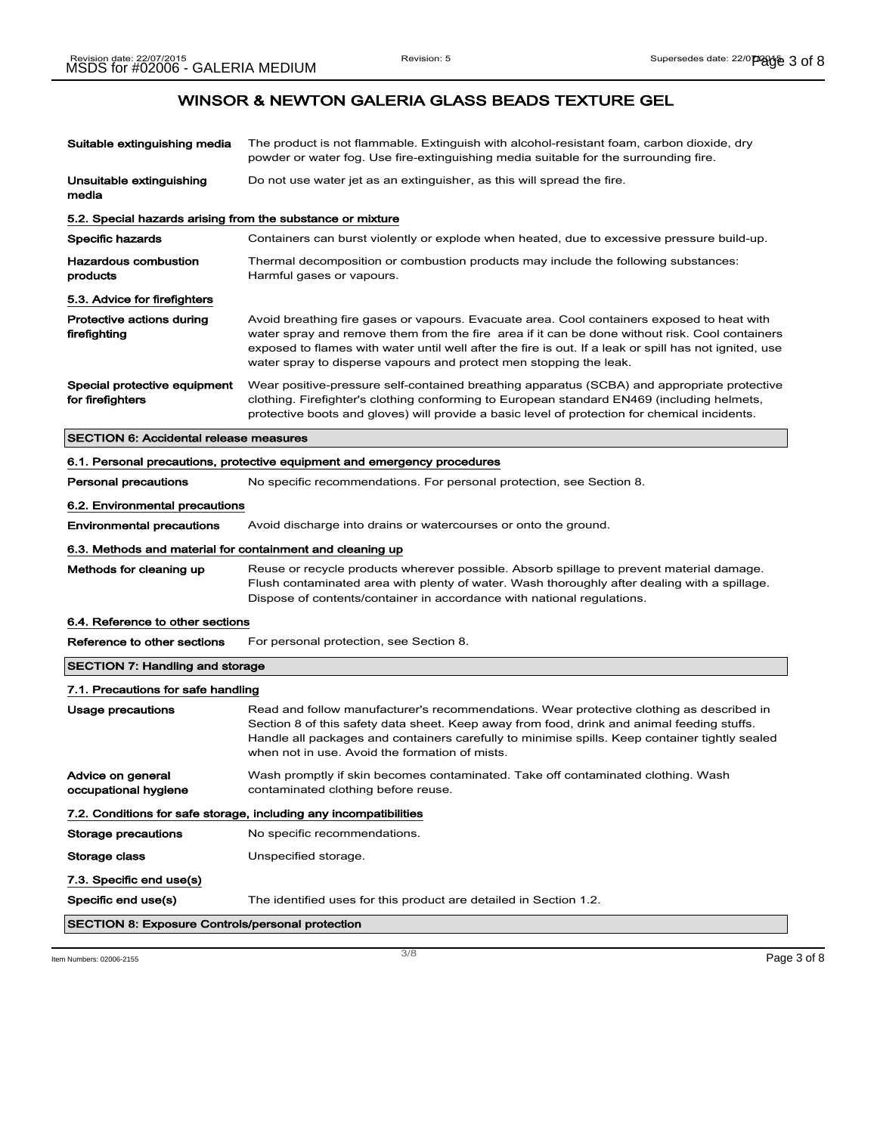| Suitable extinguishing media                               | The product is not flammable. Extinguish with alcohol-resistant foam, carbon dioxide, dry<br>powder or water fog. Use fire-extinguishing media suitable for the surrounding fire.                                                                                                                                                                                            |
|------------------------------------------------------------|------------------------------------------------------------------------------------------------------------------------------------------------------------------------------------------------------------------------------------------------------------------------------------------------------------------------------------------------------------------------------|
| Unsuitable extinguishing<br>media                          | Do not use water jet as an extinguisher, as this will spread the fire.                                                                                                                                                                                                                                                                                                       |
| 5.2. Special hazards arising from the substance or mixture |                                                                                                                                                                                                                                                                                                                                                                              |
| <b>Specific hazards</b>                                    | Containers can burst violently or explode when heated, due to excessive pressure build-up.                                                                                                                                                                                                                                                                                   |
| <b>Hazardous combustion</b><br>products                    | Thermal decomposition or combustion products may include the following substances:<br>Harmful gases or vapours.                                                                                                                                                                                                                                                              |
| 5.3. Advice for firefighters                               |                                                                                                                                                                                                                                                                                                                                                                              |
| Protective actions during<br>firefighting                  | Avoid breathing fire gases or vapours. Evacuate area. Cool containers exposed to heat with<br>water spray and remove them from the fire area if it can be done without risk. Cool containers<br>exposed to flames with water until well after the fire is out. If a leak or spill has not ignited, use<br>water spray to disperse vapours and protect men stopping the leak. |
| Special protective equipment<br>for firefighters           | Wear positive-pressure self-contained breathing apparatus (SCBA) and appropriate protective<br>clothing. Firefighter's clothing conforming to European standard EN469 (including helmets,<br>protective boots and gloves) will provide a basic level of protection for chemical incidents.                                                                                   |
| <b>SECTION 6: Accidental release measures</b>              |                                                                                                                                                                                                                                                                                                                                                                              |
|                                                            | 6.1. Personal precautions, protective equipment and emergency procedures                                                                                                                                                                                                                                                                                                     |
| <b>Personal precautions</b>                                | No specific recommendations. For personal protection, see Section 8.                                                                                                                                                                                                                                                                                                         |
| 6.2. Environmental precautions                             |                                                                                                                                                                                                                                                                                                                                                                              |
| <b>Environmental precautions</b>                           | Avoid discharge into drains or watercourses or onto the ground.                                                                                                                                                                                                                                                                                                              |
| 6.3. Methods and material for containment and cleaning up  |                                                                                                                                                                                                                                                                                                                                                                              |
| Methods for cleaning up                                    | Reuse or recycle products wherever possible. Absorb spillage to prevent material damage.<br>Flush contaminated area with plenty of water. Wash thoroughly after dealing with a spillage.<br>Dispose of contents/container in accordance with national regulations.                                                                                                           |
| 6.4. Reference to other sections                           |                                                                                                                                                                                                                                                                                                                                                                              |
| Reference to other sections                                | For personal protection, see Section 8.                                                                                                                                                                                                                                                                                                                                      |
| <b>SECTION 7: Handling and storage</b>                     |                                                                                                                                                                                                                                                                                                                                                                              |
| 7.1. Precautions for safe handling                         |                                                                                                                                                                                                                                                                                                                                                                              |
| Usage precautions                                          | Read and follow manufacturer's recommendations. Wear protective clothing as described in<br>Section 8 of this safety data sheet. Keep away from food, drink and animal feeding stuffs.<br>Handle all packages and containers carefully to minimise spills. Keep container tightly sealed<br>when not in use. Avoid the formation of mists.                                   |
| Advice on general<br>occupational hygiene                  | Wash promptly if skin becomes contaminated. Take off contaminated clothing. Wash<br>contaminated clothing before reuse.                                                                                                                                                                                                                                                      |
|                                                            | 7.2. Conditions for safe storage, including any incompatibilities                                                                                                                                                                                                                                                                                                            |
| Storage precautions                                        | No specific recommendations.                                                                                                                                                                                                                                                                                                                                                 |
| Storage class                                              | Unspecified storage.                                                                                                                                                                                                                                                                                                                                                         |
| 7.3. Specific end use(s)                                   |                                                                                                                                                                                                                                                                                                                                                                              |
|                                                            |                                                                                                                                                                                                                                                                                                                                                                              |
| Specific end use(s)                                        | The identified uses for this product are detailed in Section 1.2.                                                                                                                                                                                                                                                                                                            |

Item Numbers: 02006-2155  $\overline{3/8}$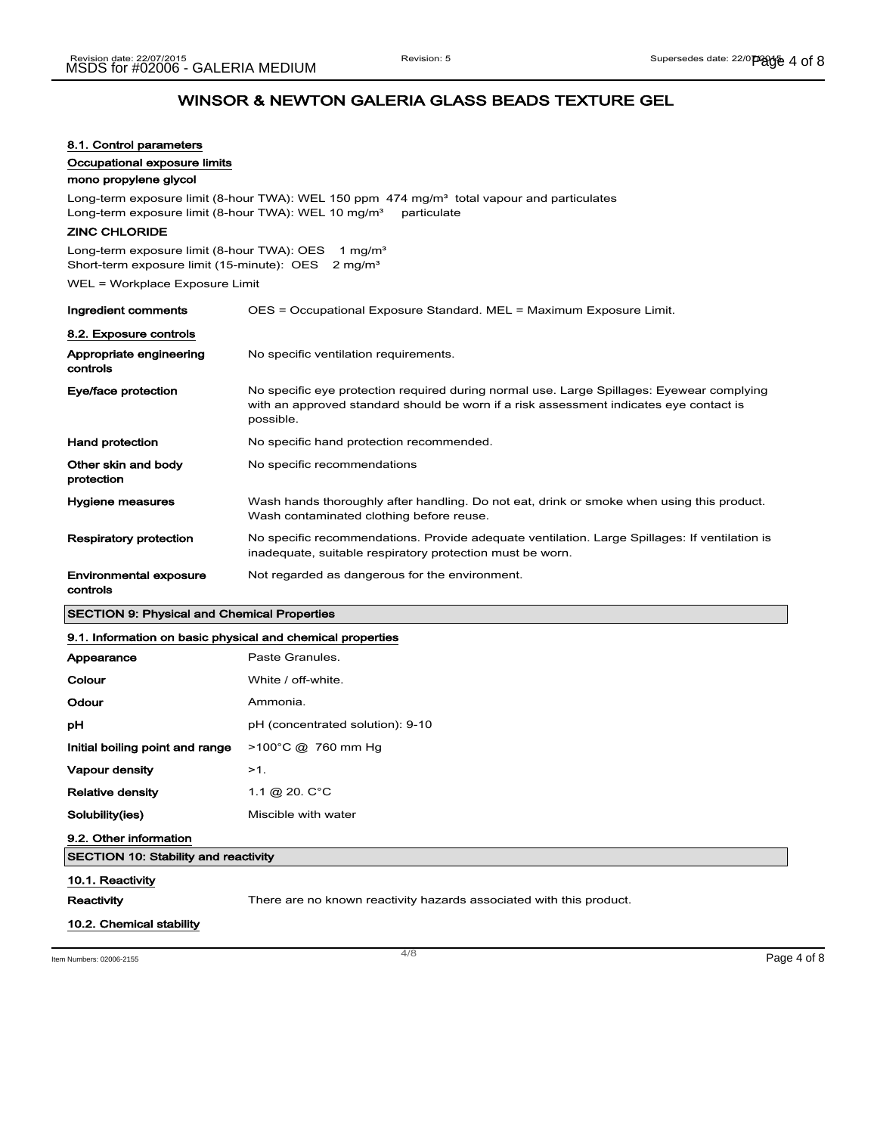| 8.1. Control parameters<br>Occupational exposure limits                                                                             |                                                                                                                                                                                                  |
|-------------------------------------------------------------------------------------------------------------------------------------|--------------------------------------------------------------------------------------------------------------------------------------------------------------------------------------------------|
| mono propylene glycol<br>Long-term exposure limit (8-hour TWA): WEL 10 mg/m <sup>3</sup>                                            | Long-term exposure limit (8-hour TWA): WEL 150 ppm 474 mg/m <sup>3</sup> total vapour and particulates<br>particulate                                                                            |
| <b>ZINC CHLORIDE</b>                                                                                                                |                                                                                                                                                                                                  |
| Long-term exposure limit (8-hour TWA): OES<br>1 mg/m <sup>3</sup><br>Short-term exposure limit (15-minute): OES 2 mg/m <sup>3</sup> |                                                                                                                                                                                                  |
| WEL = Workplace Exposure Limit                                                                                                      |                                                                                                                                                                                                  |
| Ingredient comments                                                                                                                 | OES = Occupational Exposure Standard. MEL = Maximum Exposure Limit.                                                                                                                              |
| 8.2. Exposure controls                                                                                                              |                                                                                                                                                                                                  |
| Appropriate engineering<br>controls                                                                                                 | No specific ventilation requirements.                                                                                                                                                            |
| Eye/face protection                                                                                                                 | No specific eye protection required during normal use. Large Spillages: Eyewear complying<br>with an approved standard should be worn if a risk assessment indicates eye contact is<br>possible. |
| Hand protection                                                                                                                     | No specific hand protection recommended.                                                                                                                                                         |
| Other skin and body<br>protection                                                                                                   | No specific recommendations                                                                                                                                                                      |
| Hygiene measures                                                                                                                    | Wash hands thoroughly after handling. Do not eat, drink or smoke when using this product.<br>Wash contaminated clothing before reuse.                                                            |
| <b>Respiratory protection</b>                                                                                                       | No specific recommendations. Provide adequate ventilation. Large Spillages: If ventilation is<br>inadequate, suitable respiratory protection must be worn.                                       |
| Environmental exposure<br>controls                                                                                                  | Not regarded as dangerous for the environment.                                                                                                                                                   |
| <b>SECTION 9: Physical and Chemical Properties</b>                                                                                  |                                                                                                                                                                                                  |
| 9.1. Information on basic physical and chemical properties                                                                          |                                                                                                                                                                                                  |
| Appearance                                                                                                                          | Paste Granules.                                                                                                                                                                                  |
| Colour                                                                                                                              | White / off-white.                                                                                                                                                                               |
| Odour                                                                                                                               | Ammonia.                                                                                                                                                                                         |
| рH                                                                                                                                  | pH (concentrated solution): 9-10                                                                                                                                                                 |
| Initial boiling point and range                                                                                                     | $>100^{\circ}$ C @ 760 mm Hg                                                                                                                                                                     |
| Vapour density                                                                                                                      | $>1$ .                                                                                                                                                                                           |
| <b>Relative density</b>                                                                                                             | 1.1 @ 20. C°C                                                                                                                                                                                    |
| Solubility(ies)                                                                                                                     | Miscible with water                                                                                                                                                                              |
| 9.2. Other information                                                                                                              |                                                                                                                                                                                                  |
| <b>SECTION 10: Stability and reactivity</b>                                                                                         |                                                                                                                                                                                                  |
| 10.1. Reactivity                                                                                                                    |                                                                                                                                                                                                  |
|                                                                                                                                     |                                                                                                                                                                                                  |

Reactivity **There are no known reactivity hazards associated with this product.** 

### 10.2. Chemical stability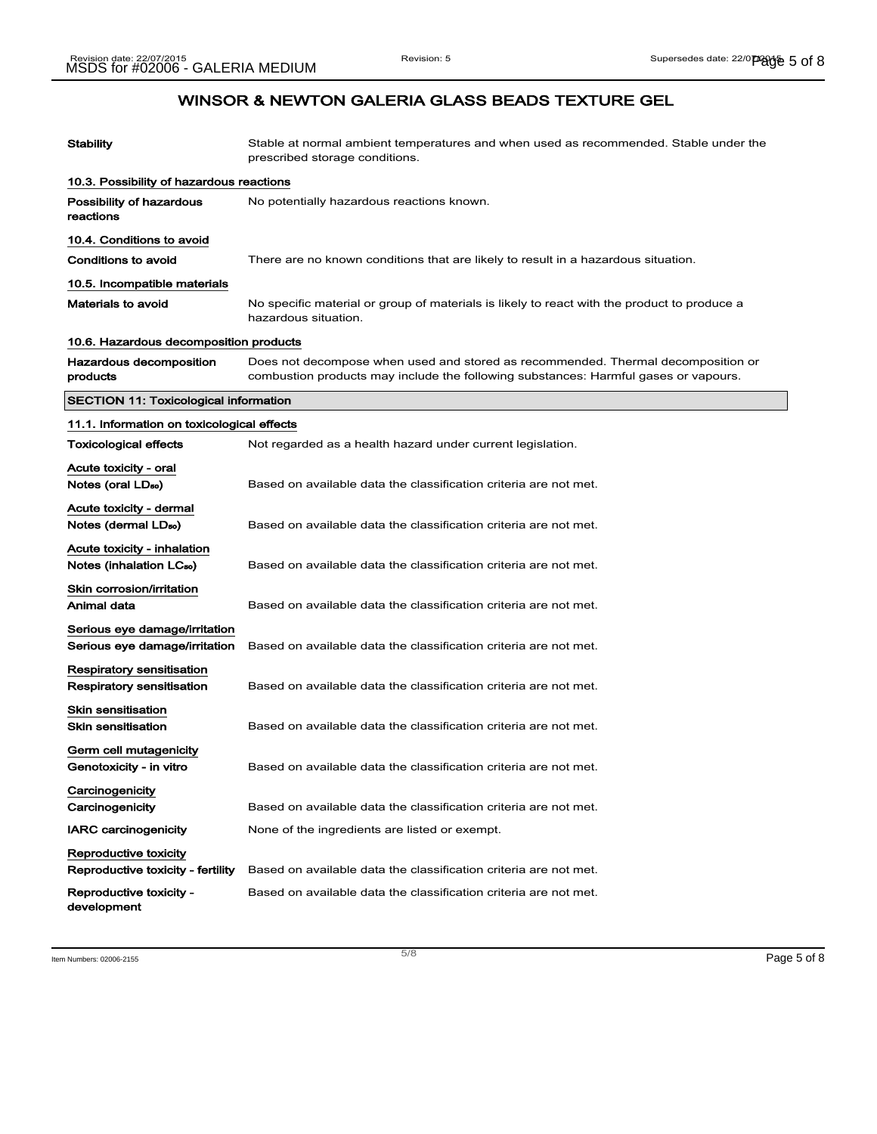| Stability                                                                  | Stable at normal ambient temperatures and when used as recommended. Stable under the<br>prescribed storage conditions.                                                  |
|----------------------------------------------------------------------------|-------------------------------------------------------------------------------------------------------------------------------------------------------------------------|
| 10.3. Possibility of hazardous reactions                                   |                                                                                                                                                                         |
| Possibility of hazardous<br>reactions                                      | No potentially hazardous reactions known.                                                                                                                               |
| 10.4. Conditions to avoid                                                  |                                                                                                                                                                         |
| Conditions to avoid                                                        | There are no known conditions that are likely to result in a hazardous situation.                                                                                       |
| 10.5. Incompatible materials                                               |                                                                                                                                                                         |
| Materials to avoid                                                         | No specific material or group of materials is likely to react with the product to produce a<br>hazardous situation.                                                     |
| 10.6. Hazardous decomposition products                                     |                                                                                                                                                                         |
| Hazardous decomposition<br>products                                        | Does not decompose when used and stored as recommended. Thermal decomposition or<br>combustion products may include the following substances: Harmful gases or vapours. |
| <b>SECTION 11: Toxicological information</b>                               |                                                                                                                                                                         |
| 11.1. Information on toxicological effects                                 |                                                                                                                                                                         |
| Toxicological effects                                                      | Not regarded as a health hazard under current legislation.                                                                                                              |
| Acute toxicity - oral<br>Notes (oral LD <sub>50</sub> )                    | Based on available data the classification criteria are not met.                                                                                                        |
| Acute toxicity - dermal<br>Notes (dermal LD <sub>so</sub> )                | Based on available data the classification criteria are not met.                                                                                                        |
| <b>Acute toxicity - inhalation</b><br>Notes (inhalation LC <sub>50</sub> ) | Based on available data the classification criteria are not met.                                                                                                        |
| Skin corrosion/irritation<br>Animal data                                   | Based on available data the classification criteria are not met.                                                                                                        |
| Serious eye damage/irritation<br>Serious eye damage/irritation             | Based on available data the classification criteria are not met.                                                                                                        |
| Respiratory sensitisation<br>Respiratory sensitisation                     | Based on available data the classification criteria are not met.                                                                                                        |
| Skin sensitisation<br><b>Skin sensitisation</b>                            | Based on available data the classification criteria are not met.                                                                                                        |
| Germ cell mutagenicity<br>Genotoxicity - in vitro                          | Based on available data the classification criteria are not met.                                                                                                        |
| Carcinogenicity<br>Carcinogenicity                                         | Based on available data the classification criteria are not met.                                                                                                        |
| <b>IARC carcinogenicity</b>                                                | None of the ingredients are listed or exempt.                                                                                                                           |
| Reproductive toxicity<br>Reproductive toxicity - fertility                 | Based on available data the classification criteria are not met.                                                                                                        |
| Reproductive toxicity -<br>development                                     | Based on available data the classification criteria are not met.                                                                                                        |

Item Numbers: 02006-2155  $\blacksquare$  Page 5 of 8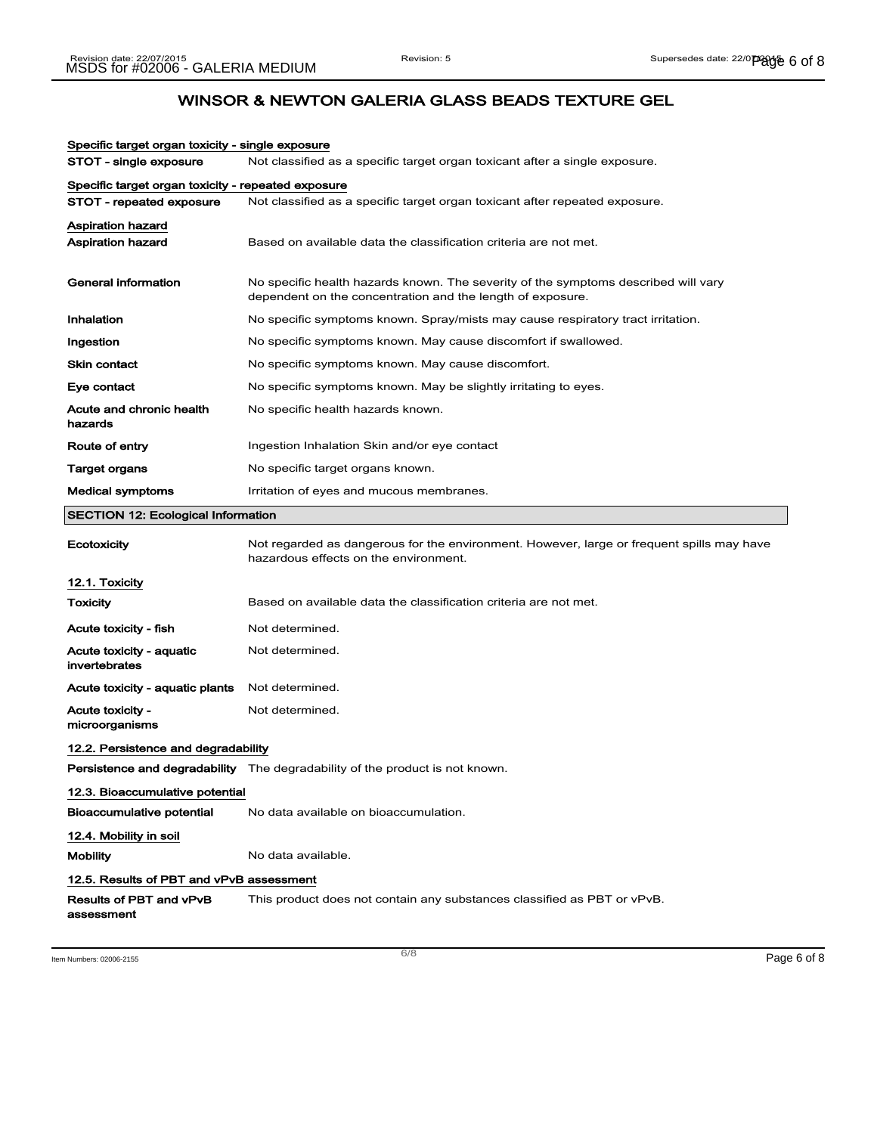| Specific target organ toxicity - single exposure   |                                                                                                                                                  |
|----------------------------------------------------|--------------------------------------------------------------------------------------------------------------------------------------------------|
| STOT - single exposure                             | Not classified as a specific target organ toxicant after a single exposure.                                                                      |
| Specific target organ toxicity - repeated exposure |                                                                                                                                                  |
| STOT - repeated exposure                           | Not classified as a specific target organ toxicant after repeated exposure.                                                                      |
| <b>Aspiration hazard</b>                           |                                                                                                                                                  |
| <b>Aspiration hazard</b>                           | Based on available data the classification criteria are not met.                                                                                 |
| General information                                | No specific health hazards known. The severity of the symptoms described will vary<br>dependent on the concentration and the length of exposure. |
| Inhalation                                         | No specific symptoms known. Spray/mists may cause respiratory tract irritation.                                                                  |
| Ingestion                                          | No specific symptoms known. May cause discomfort if swallowed.                                                                                   |
| <b>Skin contact</b>                                | No specific symptoms known. May cause discomfort.                                                                                                |
| Eye contact                                        | No specific symptoms known. May be slightly irritating to eyes.                                                                                  |
| Acute and chronic health<br>hazards                | No specific health hazards known.                                                                                                                |
| Route of entry                                     | Ingestion Inhalation Skin and/or eye contact                                                                                                     |
| Target organs                                      | No specific target organs known.                                                                                                                 |
| <b>Medical symptoms</b>                            | Irritation of eyes and mucous membranes.                                                                                                         |
| <b>SECTION 12: Ecological Information</b>          |                                                                                                                                                  |
| Ecotoxicity                                        | Not regarded as dangerous for the environment. However, large or frequent spills may have<br>hazardous effects on the environment.               |
| 12.1. Toxicity                                     |                                                                                                                                                  |
| <b>Toxicity</b>                                    | Based on available data the classification criteria are not met.                                                                                 |
| Acute toxicity - fish                              | Not determined.                                                                                                                                  |
| Acute toxicity - aquatic<br>invertebrates          | Not determined.                                                                                                                                  |
| Acute toxicity - aquatic plants                    | Not determined.                                                                                                                                  |
| <b>Acute toxicity -</b><br>microorganisms          | Not determined.                                                                                                                                  |
| 12.2. Persistence and degradability                |                                                                                                                                                  |
|                                                    | Persistence and degradability The degradability of the product is not known.                                                                     |
| 12.3. Bioaccumulative potential                    |                                                                                                                                                  |
| Bioaccumulative potential                          | No data available on bioaccumulation.                                                                                                            |
| 12.4. Mobility in soil                             |                                                                                                                                                  |
| <b>Mobility</b>                                    | No data available.                                                                                                                               |
| 12.5. Results of PBT and vPvB assessment           |                                                                                                                                                  |
| Results of PBT and vPvB                            |                                                                                                                                                  |

Item Numbers: 02006-2155  $\blacksquare$  Page 6 of 8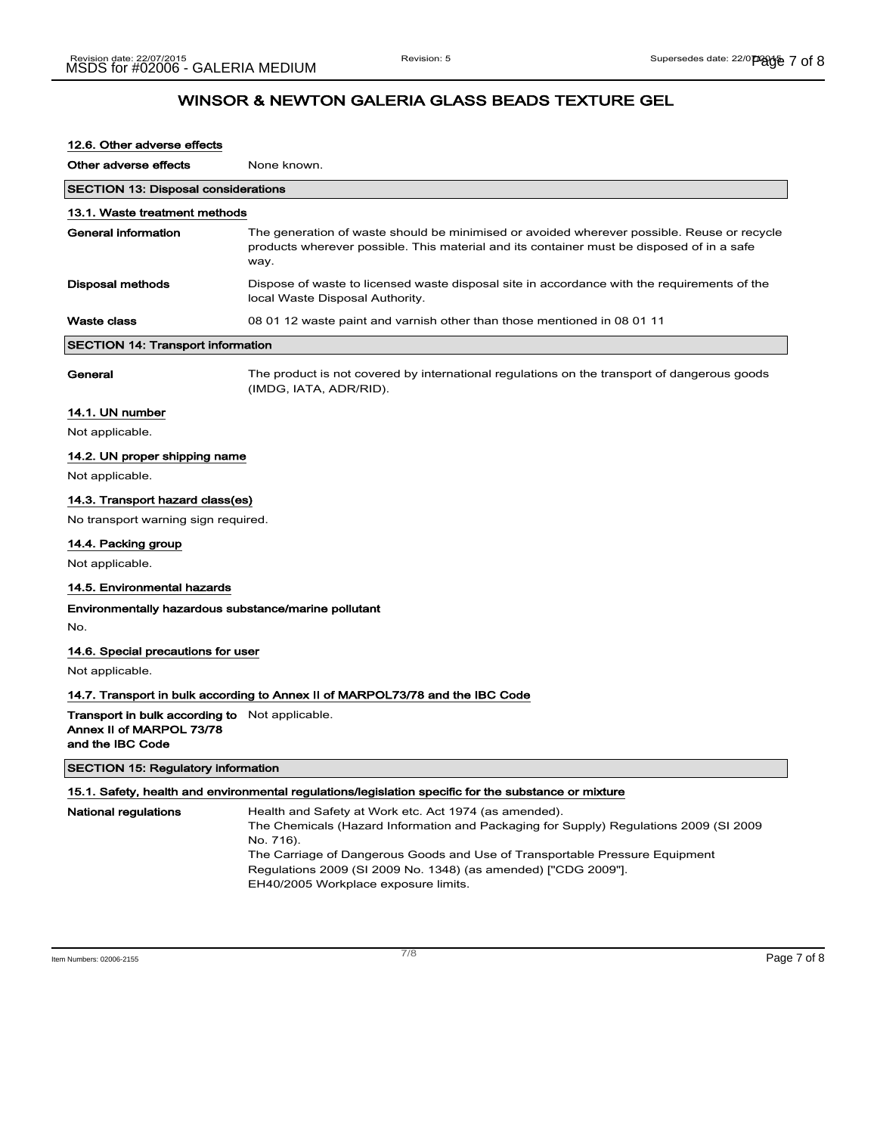| 12.6. Other adverse effects                                                                           |                                                                                                                                                                                                                                                                                                                                                      |
|-------------------------------------------------------------------------------------------------------|------------------------------------------------------------------------------------------------------------------------------------------------------------------------------------------------------------------------------------------------------------------------------------------------------------------------------------------------------|
| Other adverse effects                                                                                 | None known.                                                                                                                                                                                                                                                                                                                                          |
| <b>SECTION 13: Disposal considerations</b>                                                            |                                                                                                                                                                                                                                                                                                                                                      |
| 13.1. Waste treatment methods                                                                         |                                                                                                                                                                                                                                                                                                                                                      |
| General information                                                                                   | The generation of waste should be minimised or avoided wherever possible. Reuse or recycle<br>products wherever possible. This material and its container must be disposed of in a safe<br>way.                                                                                                                                                      |
| <b>Disposal methods</b>                                                                               | Dispose of waste to licensed waste disposal site in accordance with the requirements of the<br>local Waste Disposal Authority.                                                                                                                                                                                                                       |
| <b>Waste class</b>                                                                                    | 08 01 12 waste paint and varnish other than those mentioned in 08 01 11                                                                                                                                                                                                                                                                              |
| <b>SECTION 14: Transport information</b>                                                              |                                                                                                                                                                                                                                                                                                                                                      |
| General                                                                                               | The product is not covered by international regulations on the transport of dangerous goods<br>(IMDG, IATA, ADR/RID).                                                                                                                                                                                                                                |
| 14.1. UN number                                                                                       |                                                                                                                                                                                                                                                                                                                                                      |
| Not applicable.                                                                                       |                                                                                                                                                                                                                                                                                                                                                      |
| 14.2. UN proper shipping name                                                                         |                                                                                                                                                                                                                                                                                                                                                      |
| Not applicable.                                                                                       |                                                                                                                                                                                                                                                                                                                                                      |
| 14.3. Transport hazard class(es)                                                                      |                                                                                                                                                                                                                                                                                                                                                      |
| No transport warning sign required.                                                                   |                                                                                                                                                                                                                                                                                                                                                      |
| 14.4. Packing group                                                                                   |                                                                                                                                                                                                                                                                                                                                                      |
| Not applicable.                                                                                       |                                                                                                                                                                                                                                                                                                                                                      |
| 14.5. Environmental hazards                                                                           |                                                                                                                                                                                                                                                                                                                                                      |
| Environmentally hazardous substance/marine pollutant<br>No.                                           |                                                                                                                                                                                                                                                                                                                                                      |
| 14.6. Special precautions for user                                                                    |                                                                                                                                                                                                                                                                                                                                                      |
| Not applicable.                                                                                       |                                                                                                                                                                                                                                                                                                                                                      |
|                                                                                                       | 14.7. Transport in bulk according to Annex II of MARPOL73/78 and the IBC Code                                                                                                                                                                                                                                                                        |
| <b>Transport in bulk according to</b> Not applicable.<br>Annex II of MARPOL 73/78<br>and the IBC Code |                                                                                                                                                                                                                                                                                                                                                      |
| <b>SECTION 15: Regulatory information</b>                                                             |                                                                                                                                                                                                                                                                                                                                                      |
|                                                                                                       | 15.1. Safety, health and environmental regulations/legislation specific for the substance or mixture                                                                                                                                                                                                                                                 |
| National regulations                                                                                  | Health and Safety at Work etc. Act 1974 (as amended).<br>The Chemicals (Hazard Information and Packaging for Supply) Regulations 2009 (SI 2009<br>No. 716).<br>The Carriage of Dangerous Goods and Use of Transportable Pressure Equipment<br>Regulations 2009 (SI 2009 No. 1348) (as amended) ["CDG 2009"].<br>EH40/2005 Workplace exposure limits. |